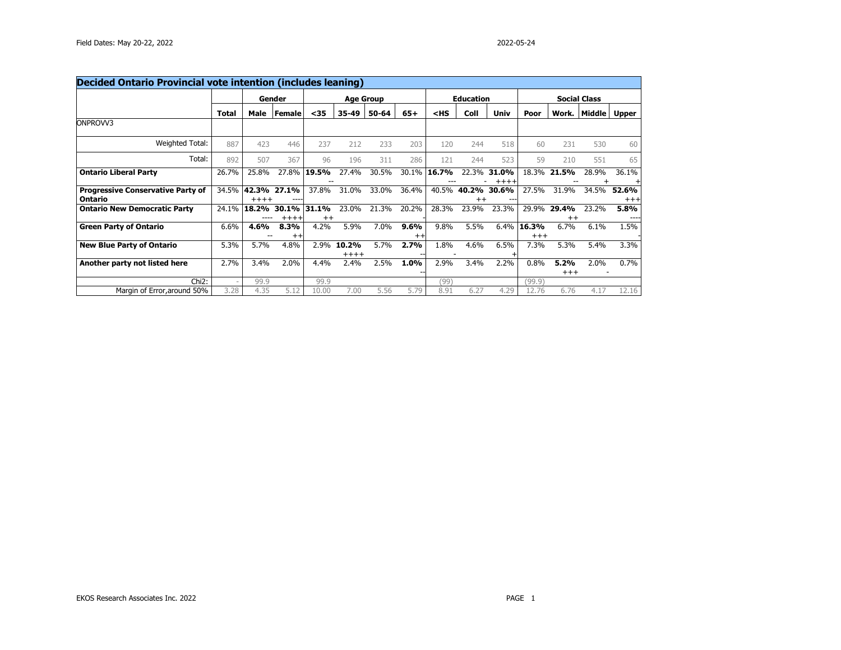| <b>Decided Ontario Provincial vote intention (includes leaning)</b> |                          |                  |                 |                  |                  |       |                 |        |                  |                        |                   |                     |        |                   |  |  |
|---------------------------------------------------------------------|--------------------------|------------------|-----------------|------------------|------------------|-------|-----------------|--------|------------------|------------------------|-------------------|---------------------|--------|-------------------|--|--|
|                                                                     |                          |                  | Gender          |                  | <b>Age Group</b> |       |                 |        | <b>Education</b> |                        |                   | <b>Social Class</b> |        |                   |  |  |
|                                                                     | <b>Total</b>             | Male             | <b>Female</b>   | $35$             | 35-49            | 50-64 | $65+$           | $<$ HS | Coll             | Univ                   | Poor              | Work.               | Middle | <b>Upper</b>      |  |  |
| ONPROVV3                                                            |                          |                  |                 |                  |                  |       |                 |        |                  |                        |                   |                     |        |                   |  |  |
| Weighted Total:                                                     | 887                      | 423              | 446             | 237              | 212              | 233   | 203             | 120    | 244              | 518                    | 60                | 231                 | 530    | 60                |  |  |
| Total:                                                              | 892                      | 507              | 367             | 96               | 196              | 311   | 286             | 121    | 244              | 523                    | 59                | 210                 | 551    | 65                |  |  |
| <b>Ontario Liberal Party</b>                                        | 26.7%                    | 25.8%            | 27.8%           | 19.5%            | 27.4%            | 30.5% | 30.1%           | 16.7%  |                  | 22.3% 31.0%<br>$+++++$ | 18.3%             | 21.5%               | 28.9%  | 36.1%             |  |  |
| <b>Progressive Conservative Party of</b><br>Ontario                 | 34.5%                    | 42.3%<br>$+++++$ | 27.1%           | 37.8%            | 31.0%            | 33.0% | 36.4%           | 40.5%  | 40.2%<br>$^{++}$ | 30.6%                  | 27.5%             | 31.9%               | 34.5%  | 52.6%<br>$^{+++}$ |  |  |
| <b>Ontario New Democratic Party</b>                                 | 24.1%                    | 18.2%            | 30.1%<br>$++++$ | 31.1%<br>$^{++}$ | 23.0%            | 21.3% | 20.2%           | 28.3%  | 23.9%            | 23.3%                  | 29.9%             | 29.4%<br>$^{++}$    | 23.2%  | 5.8%              |  |  |
| <b>Green Party of Ontario</b>                                       | 6.6%                     | 4.6%             | 8.3%<br>$^{++}$ | 4.2%             | 5.9%             | 7.0%  | 9.6%<br>$^{++}$ | 9.8%   | 5.5%             | 6.4%                   | 16.3%<br>$^{+++}$ | 6.7%                | 6.1%   | 1.5%              |  |  |
| <b>New Blue Party of Ontario</b>                                    | 5.3%                     | 5.7%             | 4.8%            | 2.9%             | 10.2%<br>$+++++$ | 5.7%  | 2.7%            | 1.8%   | 4.6%             | 6.5%                   | 7.3%              | 5.3%                | 5.4%   | 3.3%              |  |  |
| Another party not listed here                                       | 2.7%                     | 3.4%             | 2.0%            | 4.4%             | 2.4%             | 2.5%  | 1.0%            | 2.9%   | 3.4%             | 2.2%                   | 0.8%              | 5.2%<br>$^{+++}$    | 2.0%   | 0.7%              |  |  |
| Chi <sub>2</sub> :                                                  | $\overline{\phantom{a}}$ | 99.9             |                 | 99.9             |                  |       |                 | (99)   |                  |                        | (99.9)            |                     |        |                   |  |  |
| Margin of Error, around 50%                                         | 3.28                     | 4.35             | 5.12            | 10.00            | 7.00             | 5.56  | 5.79            | 8.91   | 6.27             | 4.29                   | 12.76             | 6.76                | 4.17   | 12.16             |  |  |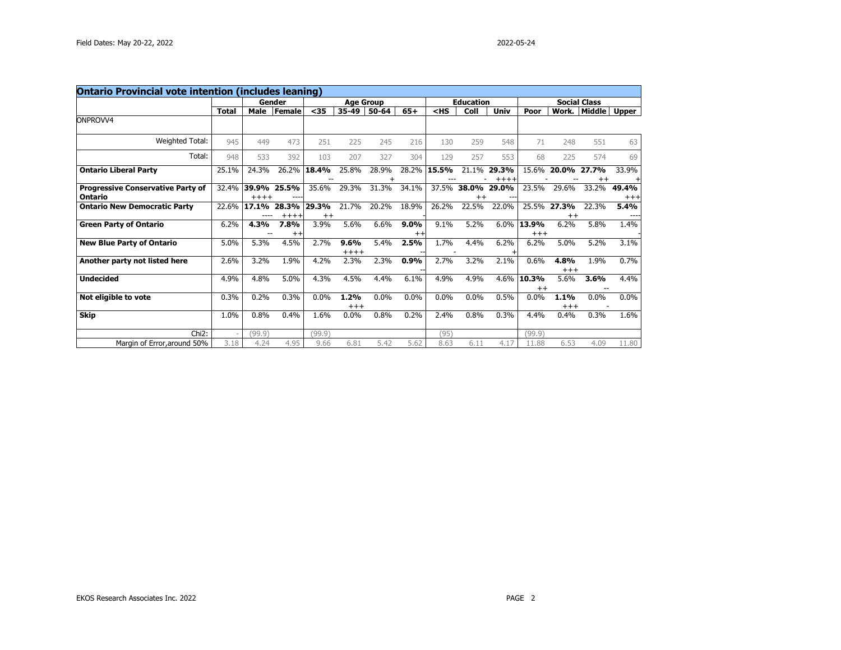| <b>Ontario Provincial vote intention (includes leaning)</b> |              |                  |                 |                  |                  |           |                 |                  |         |             |                     |                  |                 |                     |
|-------------------------------------------------------------|--------------|------------------|-----------------|------------------|------------------|-----------|-----------------|------------------|---------|-------------|---------------------|------------------|-----------------|---------------------|
|                                                             |              |                  | Gender          | <b>Age Group</b> |                  |           |                 | <b>Education</b> |         |             | <b>Social Class</b> |                  |                 |                     |
|                                                             | <b>Total</b> | Male             | Female          | $35$             | 35-49            | $50 - 64$ | $65+$           | $<$ HS           | Coll    | Univ        | Poor                | Work.            | <b>Middle</b>   | <b>Upper</b>        |
| ONPROVV4                                                    |              |                  |                 |                  |                  |           |                 |                  |         |             |                     |                  |                 |                     |
| Weighted Total:                                             | 945          | 449              | 473             | 251              | 225              | 245       | 216             | 130              | 259     | 548         | 71                  | 248              | 551             | 63                  |
| Total:                                                      | 948          | 533              | 392             | 103              | 207              | 327       | 304             | 129              | 257     | 553         | 68                  | 225              | 574             | 69                  |
| <b>Ontario Liberal Party</b>                                | 25.1%        | 24.3%            | 26.2%           | 18.4%            | 25.8%            | 28.9%     | 28.2%           | 15.5%            | 21.1%   | 29.3%       | 15.6%               | 20.0%            | 27.7%           | 33.9%               |
|                                                             |              |                  |                 |                  |                  |           |                 |                  |         | $++++$      |                     |                  | $^{\mathrm{+}}$ |                     |
| <b>Progressive Conservative Party of</b><br>Ontario         | 32.4%        | 39.9%<br>$+++++$ | 25.5%           | 35.6%            | 29.3%            | 31.3%     | 34.1%           | 37.5%            | $^{++}$ | 38.0% 29.0% | 23.5%               | 29.6%            | 33.2%           | 49.4%<br>$^{+ + +}$ |
| <b>Ontario New Democratic Party</b>                         | 22.6%        | 17.1%<br>----    | 28.3%<br>$++++$ | 29.3%<br>$^{++}$ | 21.7%            | 20.2%     | 18.9%           | 26.2%            | 22.5%   | 22.0%       | 25.5%               | 27.3%<br>$^{++}$ | 22.3%           | 5.4%<br>---         |
| <b>Green Party of Ontario</b>                               | 6.2%         | 4.3%             | 7.8%<br>$^{++}$ | 3.9%             | 5.6%             | 6.6%      | 9.0%<br>$^{++}$ | 9.1%             | 5.2%    | 6.0%        | 13.9%<br>$^{+++}$   | 6.2%             | 5.8%            | 1.4%                |
| <b>New Blue Party of Ontario</b>                            | 5.0%         | 5.3%             | 4.5%            | 2.7%             | 9.6%<br>$+++++$  | 5.4%      | 2.5%            | 1.7%             | 4.4%    | 6.2%        | 6.2%                | 5.0%             | 5.2%            | 3.1%                |
| Another party not listed here                               | 2.6%         | 3.2%             | 1.9%            | 4.2%             | 2.3%             | 2.3%      | $0.9\%$         | 2.7%             | 3.2%    | 2.1%        | 0.6%                | 4.8%<br>$^{+++}$ | 1.9%            | 0.7%                |
| <b>Undecided</b>                                            | 4.9%         | 4.8%             | 5.0%            | 4.3%             | 4.5%             | 4.4%      | 6.1%            | 4.9%             | 4.9%    | 4.6%        | 10.3%<br>$^{++}$    | 5.6%             | 3.6%            | 4.4%                |
| Not eligible to vote                                        | 0.3%         | 0.2%             | 0.3%            | 0.0%             | 1.2%<br>$^{+++}$ | $0.0\%$   | 0.0%            | 0.0%             | 0.0%    | 0.5%        | 0.0%                | 1.1%<br>$^{+++}$ | 0.0%            | 0.0%                |
| Skip                                                        | 1.0%         | 0.8%             | 0.4%            | 1.6%             | 0.0%             | 0.8%      | 0.2%            | 2.4%             | 0.8%    | 0.3%        | 4.4%                | 0.4%             | 0.3%            | 1.6%                |
| Chi <sub>2</sub> :                                          | $\sim$       | (99.9)           |                 | (99.9)           |                  |           |                 | (95)             |         |             | (99.9)              |                  |                 |                     |
| Margin of Error, around 50%                                 | 3.18         | 4.24             | 4.95            | 9.66             | 6.81             | 5.42      | 5.62            | 8.63             | 6.11    | 4.17        | 11.88               | 6.53             | 4.09            | 11.80               |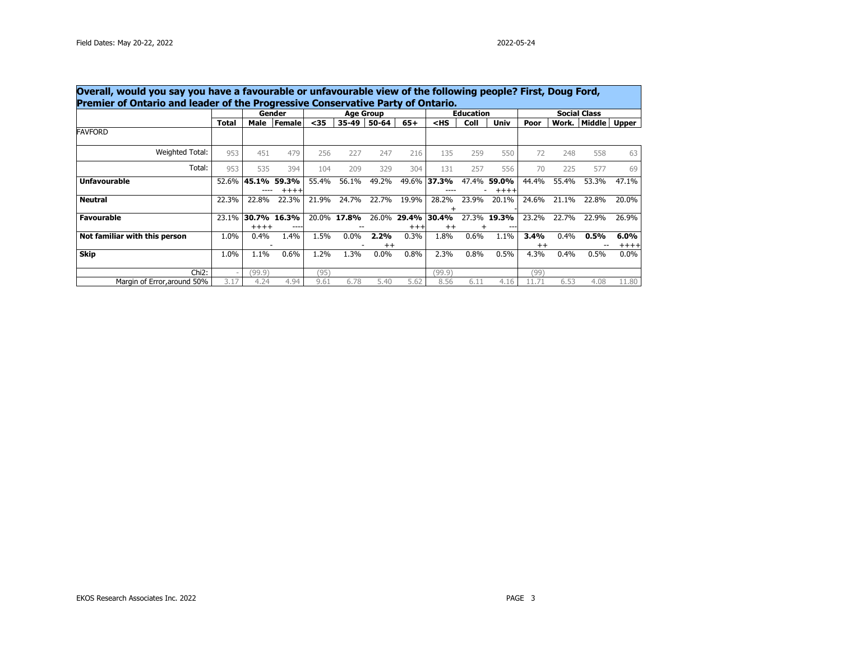| Overall, would you say you have a favourable or unfavourable view of the following people? First, Doug Ford,<br>Premier of Ontario and leader of the Progressive Conservative Party of Ontario. |                          |                  |                 |       |       |                  |                   |                  |                  |                  |                 |       |                     |                 |
|-------------------------------------------------------------------------------------------------------------------------------------------------------------------------------------------------|--------------------------|------------------|-----------------|-------|-------|------------------|-------------------|------------------|------------------|------------------|-----------------|-------|---------------------|-----------------|
|                                                                                                                                                                                                 |                          |                  | Gender          |       |       | <b>Age Group</b> |                   |                  | <b>Education</b> |                  |                 |       | <b>Social Class</b> |                 |
|                                                                                                                                                                                                 | Total                    | Male             | Female          | $35$  | 35-49 | 50-64            | $65+$             | $<$ HS           | Coll             | Univ             | Poor            |       | Work.   Middle      | Upper           |
| <b>FAVFORD</b>                                                                                                                                                                                  |                          |                  |                 |       |       |                  |                   |                  |                  |                  |                 |       |                     |                 |
| Weighted Total:                                                                                                                                                                                 | 953                      | 451              | 479             | 256   | 227   | 247              | 216               | 135              | 259              | 550              | 72              | 248   | 558                 | 63              |
| Total:                                                                                                                                                                                          | 953                      | 535              | 394             | 104   | 209   | 329              | 304               | 131              | 257              | 556              | 70              | 225   | 577                 | 69              |
| <b>Unfavourable</b>                                                                                                                                                                             | 52.6%                    | 45.1%            | 59.3%<br>$++++$ | 55.4% | 56.1% | 49.2%            | 49.6%             | 37.3%            | 47.4%            | 59.0%<br>$+++++$ | 44.4%           | 55.4% | 53.3%               | 47.1%           |
| <b>Neutral</b>                                                                                                                                                                                  | 22.3%                    | 22.8%            | 22.3%           | 21.9% | 24.7% | 22.7%            | 19.9%             | 28.2%            | 23.9%            | 20.1%            | 24.6%           | 21.1% | 22.8%               | 20.0%           |
| <b>Favourable</b>                                                                                                                                                                               | 23.1%                    | 30.7%<br>$+++++$ | 16.3%<br>----   | 20.0% | 17.8% | 26.0%            | 29.4%<br>$^{+++}$ | 30.4%<br>$^{++}$ |                  | 27.3% 19.3%      | 23.2%           | 22.7% | 22.9%               | 26.9%           |
| Not familiar with this person                                                                                                                                                                   | 1.0%                     | 0.4%             | 1.4%            | 1.5%  | 0.0%  | 2.2%<br>$^{++}$  | 0.3%              | 1.8%             | 0.6%             | 1.1%             | 3.4%<br>$^{++}$ | 0.4%  | 0.5%                | 6.0%<br>$+++++$ |
| Skip                                                                                                                                                                                            | 1.0%                     | 1.1%             | 0.6%            | 1.2%  | 1.3%  | 0.0%             | 0.8%              | 2.3%             | 0.8%             | 0.5%             | 4.3%            | 0.4%  | 0.5%                | $0.0\%$         |
| Chi:                                                                                                                                                                                            | $\overline{\phantom{a}}$ | (99.9)           |                 | (95)  |       |                  |                   | (99.9)           |                  |                  | (99)            |       |                     |                 |
| Margin of Error, around 50%                                                                                                                                                                     | 3.17                     | 4.24             | 4.94            | 9.61  | 6.78  | 5.40             | 5.62              | 8.56             | 6.11             | 4.16             | 11.71           | 6.53  | 4.08                | 11.80           |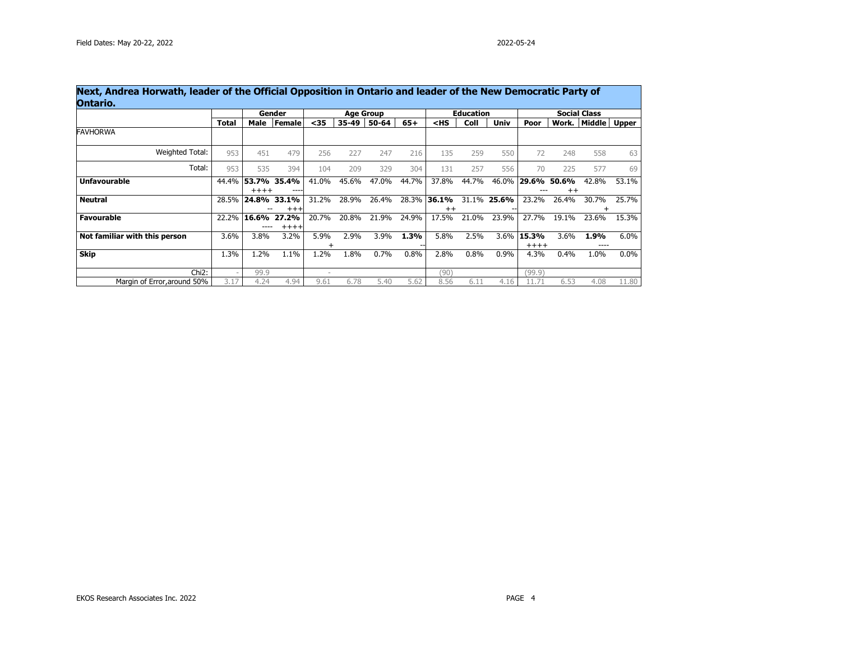| Next, Andrea Horwath, leader of the Official Opposition in Ontario and leader of the New Democratic Party of<br>Ontario. |              |         |                   |           |       |                  |       |                  |           |       |                  |                  |                     |         |
|--------------------------------------------------------------------------------------------------------------------------|--------------|---------|-------------------|-----------|-------|------------------|-------|------------------|-----------|-------|------------------|------------------|---------------------|---------|
|                                                                                                                          |              |         | Gender            |           |       | <b>Age Group</b> |       |                  | Education |       |                  |                  | <b>Social Class</b> |         |
|                                                                                                                          | <b>Total</b> | Male    | <b>Female</b>     | $35$      | 35-49 | 50-64            | $65+$ | $<$ HS           | Coll      | Univ  | Poor             |                  | Work.   Middle      | Upper   |
| <b>FAVHORWA</b>                                                                                                          |              |         |                   |           |       |                  |       |                  |           |       |                  |                  |                     |         |
| Weighted Total:                                                                                                          | 953          | 451     | 479               | 256       | 227   | 247              | 216   | 135              | 259       | 550   | 72               | 248              | 558                 | 63      |
| Total:                                                                                                                   | 953          | 535     | 394               | 104       | 209   | 329              | 304   | 131              | 257       | 556   | 70               | 225              | 577                 | 69      |
| <b>Unfavourable</b>                                                                                                      | 44.4%        | $+++++$ | 53.7% 35.4%       | 41.0%     | 45.6% | 47.0%            | 44.7% | 37.8%            | 44.7%     | 46.0% | 29.6%            | 50.6%<br>$^{++}$ | 42.8%               | 53.1%   |
| <b>Neutral</b>                                                                                                           | 28.5%        | 24.8%   | 33.1%<br>$^{+++}$ | 31.2%     | 28.9% | 26.4%            | 28.3% | 36.1%<br>$^{++}$ | 31.1%     | 25.6% | 23.2%            | 26.4%            | 30.7%<br>$^{+}$     | 25.7%   |
| <b>Favourable</b>                                                                                                        | 22.2%        | 16.6%   | 27.2%<br>$+++$    | 20.7%     | 20.8% | 21.9%            | 24.9% | 17.5%            | 21.0%     | 23.9% | 27.7%            | 19.1%            | 23.6%               | 15.3%   |
| Not familiar with this person                                                                                            | 3.6%         | 3.8%    | 3.2%              | 5.9%<br>+ | 2.9%  | 3.9%             | 1.3%  | 5.8%             | 2.5%      | 3.6%  | 15.3%<br>$+++++$ | 3.6%             | 1.9%                | $6.0\%$ |
| Skip                                                                                                                     | 1.3%         | 1.2%    | 1.1%              | 1.2%      | 1.8%  | 0.7%             | 0.8%  | 2.8%             | 0.8%      | 0.9%  | 4.3%             | 0.4%             | 1.0%                | $0.0\%$ |
| Chi:                                                                                                                     | $\sim$       | 99.9    |                   |           |       |                  |       | (90)             |           |       | (99.9)           |                  |                     |         |
| Margin of Error, around 50%                                                                                              | 3.17         | 4.24    | 4.94              | 9.61      | 6.78  | 5.40             | 5.62  | 8.56             | 6.11      | 4.16  | 11.71            | 6.53             | 4.08                | 11.80   |